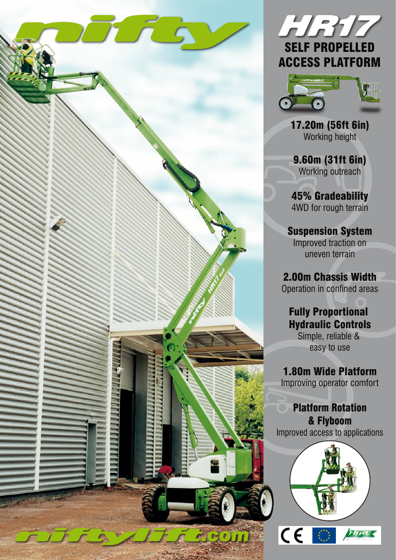





17.20m (56ft 6in) Working height

9.60m (31ft 6in) Working outreach

45% Gradeability 4WD for rough terrain

Suspension System Improved traction on uneven terrain

2.00m Chassis Width Operation in confined areas

Fully Proportional Hydraulic Controls Simple, reliable &

easy to use

1.80m Wide Platform Improving operator comfort

Platform Rotation & Flyboom Improved access to applications